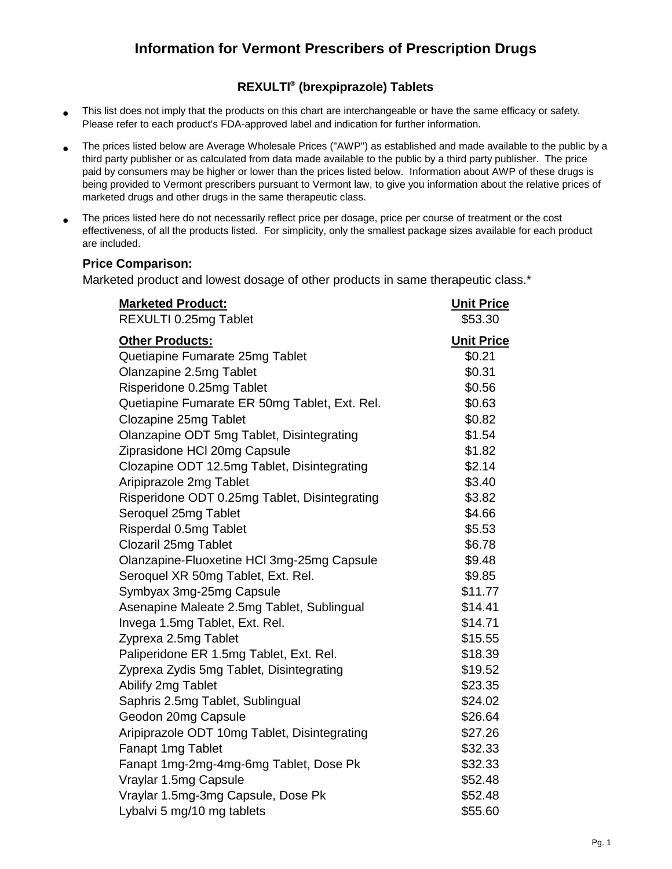## **Information for Vermont Prescribers of Prescription Drugs**

## **REXULTI® (brexpiprazole) Tablets**

- This list does not imply that the products on this chart are interchangeable or have the same efficacy or safety. Please refer to each product's FDA-approved label and indication for further information.
- The prices listed below are Average Wholesale Prices ("AWP") as established and made available to the public by a third party publisher or as calculated from data made available to the public by a third party publisher. The price paid by consumers may be higher or lower than the prices listed below. Information about AWP of these drugs is being provided to Vermont prescribers pursuant to Vermont law, to give you information about the relative prices of marketed drugs and other drugs in the same therapeutic class.
- The prices listed here do not necessarily reflect price per dosage, price per course of treatment or the cost effectiveness, of all the products listed. For simplicity, only the smallest package sizes available for each product are included.

## **Price Comparison:**

Marketed product and lowest dosage of other products in same therapeutic class.<sup>\*</sup>

| <b>Marketed Product:</b>                      | <b>Unit Price</b> |
|-----------------------------------------------|-------------------|
| REXULTI 0.25mg Tablet                         | \$53.30           |
| <b>Other Products:</b>                        | <b>Unit Price</b> |
| Quetiapine Fumarate 25mg Tablet               | \$0.21            |
| Olanzapine 2.5mg Tablet                       | \$0.31            |
| Risperidone 0.25mg Tablet                     | \$0.56            |
| Quetiapine Fumarate ER 50mg Tablet, Ext. Rel. | \$0.63            |
| Clozapine 25mg Tablet                         | \$0.82            |
| Olanzapine ODT 5mg Tablet, Disintegrating     | \$1.54            |
| Ziprasidone HCI 20mg Capsule                  | \$1.82            |
| Clozapine ODT 12.5mg Tablet, Disintegrating   | \$2.14            |
| Aripiprazole 2mg Tablet                       | \$3.40            |
| Risperidone ODT 0.25mg Tablet, Disintegrating | \$3.82            |
| Seroquel 25mg Tablet                          | \$4.66            |
| Risperdal 0.5mg Tablet                        | \$5.53            |
| Clozaril 25mg Tablet                          | \$6.78            |
| Olanzapine-Fluoxetine HCl 3mg-25mg Capsule    | \$9.48            |
| Seroquel XR 50mg Tablet, Ext. Rel.            | \$9.85            |
| Symbyax 3mg-25mg Capsule                      | \$11.77           |
| Asenapine Maleate 2.5mg Tablet, Sublingual    | \$14.41           |
| Invega 1.5mg Tablet, Ext. Rel.                | \$14.71           |
| Zyprexa 2.5mg Tablet                          | \$15.55           |
| Paliperidone ER 1.5mg Tablet, Ext. Rel.       | \$18.39           |
| Zyprexa Zydis 5mg Tablet, Disintegrating      | \$19.52           |
| Abilify 2mg Tablet                            | \$23.35           |
| Saphris 2.5mg Tablet, Sublingual              | \$24.02           |
| Geodon 20mg Capsule                           | \$26.64           |
| Aripiprazole ODT 10mg Tablet, Disintegrating  | \$27.26           |
| Fanapt 1mg Tablet                             | \$32.33           |
| Fanapt 1mg-2mg-4mg-6mg Tablet, Dose Pk        | \$32.33           |
| Vraylar 1.5mg Capsule                         | \$52.48           |
| Vraylar 1.5mg-3mg Capsule, Dose Pk            | \$52.48           |
| Lybalvi 5 mg/10 mg tablets                    | \$55.60           |